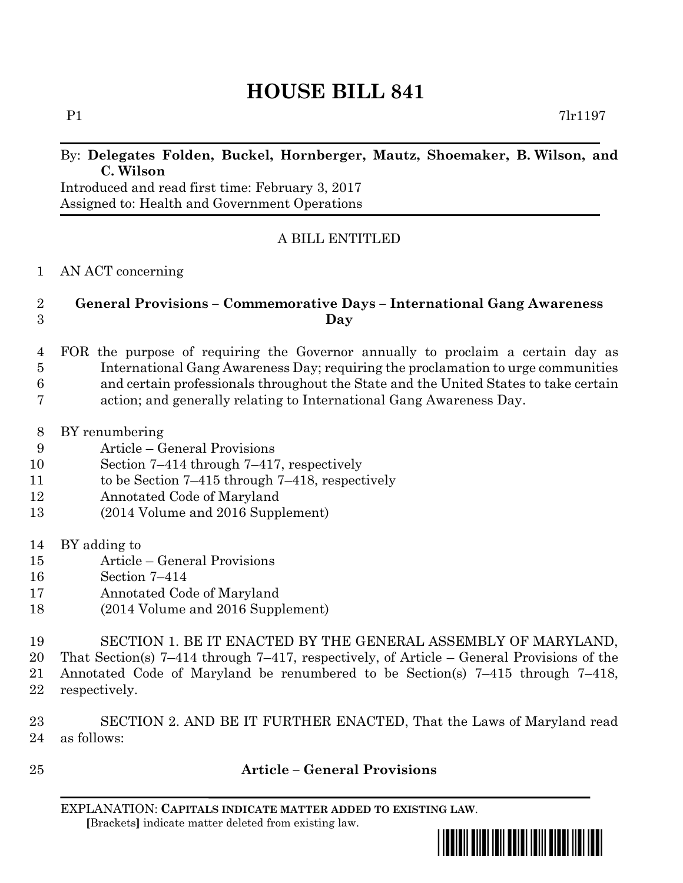# **HOUSE BILL 841**

## By: **Delegates Folden, Buckel, Hornberger, Mautz, Shoemaker, B. Wilson, and C. Wilson**

Introduced and read first time: February 3, 2017 Assigned to: Health and Government Operations

# A BILL ENTITLED

#### AN ACT concerning

# **General Provisions – Commemorative Days – International Gang Awareness Day**

- FOR the purpose of requiring the Governor annually to proclaim a certain day as International Gang Awareness Day; requiring the proclamation to urge communities and certain professionals throughout the State and the United States to take certain action; and generally relating to International Gang Awareness Day.
- BY renumbering
- Article General Provisions
- Section 7–414 through 7–417, respectively
- to be Section 7–415 through 7–418, respectively
- Annotated Code of Maryland
- (2014 Volume and 2016 Supplement)
- BY adding to
- Article General Provisions
- Section 7–414
- Annotated Code of Maryland
- (2014 Volume and 2016 Supplement)
- SECTION 1. BE IT ENACTED BY THE GENERAL ASSEMBLY OF MARYLAND,
- That Section(s) 7–414 through 7–417, respectively, of Article General Provisions of the
- Annotated Code of Maryland be renumbered to be Section(s) 7–415 through 7–418, respectively.
- SECTION 2. AND BE IT FURTHER ENACTED, That the Laws of Maryland read as follows:
- 

## **Article – General Provisions**

EXPLANATION: **CAPITALS INDICATE MATTER ADDED TO EXISTING LAW**.  **[**Brackets**]** indicate matter deleted from existing law.